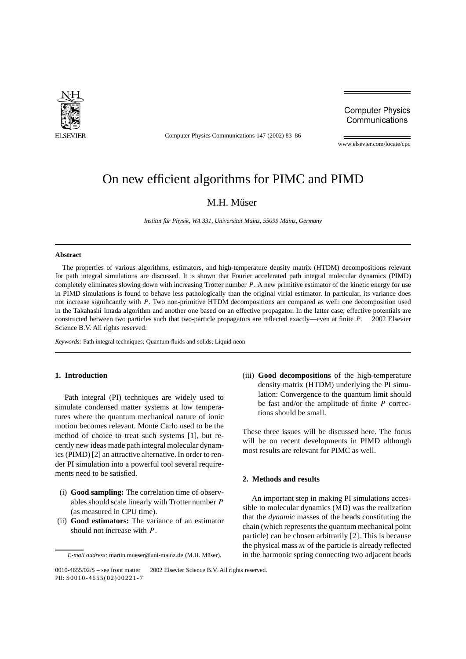

Computer Physics Communications 147 (2002) 83–86

**Computer Physics** Communications

www.elsevier.com/locate/cpc

# On new efficient algorithms for PIMC and PIMD

## M.H. Müser

*Institut für Physik, WA 331, Universität Mainz, 55099 Mainz, Germany*

#### **Abstract**

The properties of various algorithms, estimators, and high-temperature density matrix (HTDM) decompositions relevant for path integral simulations are discussed. It is shown that Fourier accelerated path integral molecular dynamics (PIMD) completely eliminates slowing down with increasing Trotter number *P*. A new primitive estimator of the kinetic energy for use in PIMD simulations is found to behave less pathologically than the original virial estimator. In particular, its variance does not increase significantly with *P*. Two non-primitive HTDM decompositions are compared as well: one decomposition used in the Takahashi Imada algorithm and another one based on an effective propagator. In the latter case, effective potentials are constructed between two particles such that two-particle propagators are reflected exactly—even at finite *P*. © 2002 Elsevier Science B.V. All rights reserved.

*Keywords:* Path integral techniques; Quantum fluids and solids; Liquid neon

### **1. Introduction**

Path integral (PI) techniques are widely used to simulate condensed matter systems at low temperatures where the quantum mechanical nature of ionic motion becomes relevant. Monte Carlo used to be the method of choice to treat such systems [1], but recently new ideas made path integral molecular dynamics (PIMD) [2] an attractive alternative. In order to render PI simulation into a powerful tool several requirements need to be satisfied.

- (i) **Good sampling:** The correlation time of observables should scale linearly with Trotter number *P* (as measured in CPU time).
- (ii) **Good estimators:** The variance of an estimator should not increase with *P*.

(iii) **Good decompositions** of the high-temperature density matrix (HTDM) underlying the PI simulation: Convergence to the quantum limit should be fast and/or the amplitude of finite *P* corrections should be small.

These three issues will be discussed here. The focus will be on recent developments in PIMD although most results are relevant for PIMC as well.

#### **2. Methods and results**

An important step in making PI simulations accessible to molecular dynamics (MD) was the realization that the *dynamic* masses of the beads constituting the chain (which represents the quantum mechanical point particle) can be chosen arbitrarily [2]. This is because the physical mass *m* of the particle is already reflected in the harmonic spring connecting two adjacent beads

*E-mail address:* martin.mueser@uni-mainz.de (M.H. Müser).

<sup>0010-4655/02/\$ –</sup> see front matter  $\degree$  2002 Elsevier Science B.V. All rights reserved. PII: S0010-4655(02)00221-7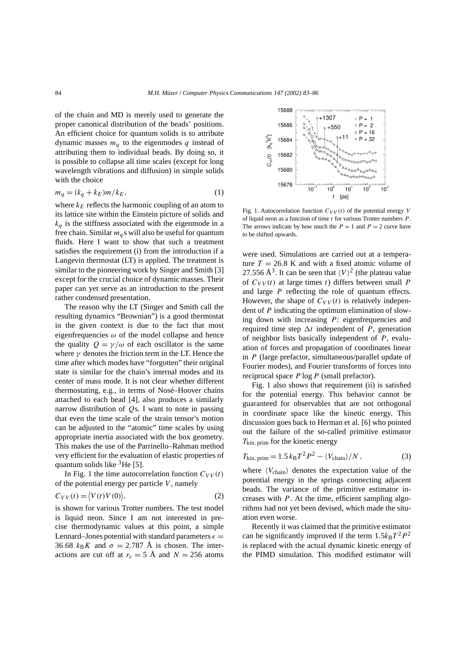of the chain and MD is merely used to generate the proper canonical distribution of the beads' positions. An efficient choice for quantum solids is to attribute dynamic masses  $m_q$  to the eigenmodes  $q$  instead of attributing them to individual beads. By doing so, it is possible to collapse all time scales (except for long wavelength vibrations and diffusion) in simple solids with the choice

$$
m_q = (k_q + k_E) m / k_E,
$$
\n<sup>(1)</sup>

where  $k_E$  reflects the harmonic coupling of an atom to its lattice site within the Einstein picture of solids and  $k_q$  is the stiffness associated with the eigenmode in a free chain. Similar  $m_q$ s will also be useful for quantum fluids. Here I want to show that such a treatment satisfies the requirement (i) from the introduction if a Langevin thermostat (LT) is applied. The treatment is similar to the pioneering work by Singer and Smith [3] except for the crucial choice of dynamic masses. Their paper can yet serve as an introduction to the present rather condensed presentation.

The reason why the LT (Singer and Smith call the resulting dynamics "Brownian") is a good thermostat in the given context is due to the fact that most eigenfrequencies  $\omega$  of the model collapse and hence the quality  $Q = \gamma/\omega$  of each oscillator is the same where  $\gamma$  denotes the friction term in the LT. Hence the time after which modes have "forgotten" their original state is similar for the chain's internal modes and its center of mass mode. It is not clear whether different thermostating, e.g., in terms of Nosé–Hoover chains attached to each bead [4], also produces a similarly narrow distribution of *Q*s. I want to note in passing that even the time scale of the strain tensor's motion can be adjusted to the "atomic" time scales by using appropriate inertia associated with the box geometry. This makes the use of the Parrinello–Rahman method very efficient for the evaluation of elastic properties of quantum solids like  ${}^{3}$ He [5].

In Fig. 1 the time autocorrelation function  $C_{VV}(t)$ of the potential energy per particle *V* , namely

$$
C_{VV}(t) = \langle V(t)V(0) \rangle,
$$
 (2)

is shown for various Trotter numbers. The test model is liquid neon. Since I am not interested in precise thermodynamic values at this point, a simple Lennard–Jones potential with standard parameters  $\epsilon =$ 36.68  $k_B K$  and  $\sigma = 2.787$  Å is chosen. The interactions are cut off at  $r_c = 5$  Å and  $N = 256$  atoms



Fig. 1. Autocorrelation function  $C_{VV}(t)$  of the potential energy *V* of liquid neon as a function of time *t* for various Trotter numbers *P* . The arrows indicate by how much the  $P = 1$  and  $P = 2$  curve have to be shifted upwards.

were used. Simulations are carried out at a temperature  $T = 26.8$  K and with a fixed atomic volume of 27.556  $\AA$ <sup>3</sup>. It can be seen that  $\langle V \rangle^2$  (the plateau value of  $C_{VV}(t)$  at large times *t*) differs between small *P* and large *P* reflecting the role of quantum effects. However, the shape of  $C_{VV}(t)$  is relatively independent of *P* indicating the optimum elimination of slowing down with increasing *P*: eigenfrequencies and required time step  $\Delta t$  independent of *P*, generation of neighbor lists basically independent of *P*, evaluation of forces and propagation of coordinates linear in *P* (large prefactor, simultaneous/parallel update of Fourier modes), and Fourier transforms of forces into reciprocal space *P* log*P* (small prefactor).

Fig. 1 also shows that requirement (ii) is satisfied for the potential energy. This behavior cannot be guaranteed for observables that are not orthogonal in coordinate space like the kinetic energy. This discussion goes back to Herman et al. [6] who pointed out the failure of the so-called primitive estimator *T*kin*,* prim for the kinetic energy

$$
T_{\text{kin, prim}} = 1.5 \, k_{\text{B}} T^2 P^2 - \langle V_{\text{chain}} \rangle / N \,, \tag{3}
$$

where  $\langle V_{\text{chain}} \rangle$  denotes the expectation value of the potential energy in the springs connecting adjacent beads. The variance of the primitive estimator increases with *P*. At the time, efficient sampling algorithms had not yet been devised, which made the situation even worse.

Recently it was claimed that the primitive estimator can be significantly improved if the term  $1.5k_BT^2P^2$ is replaced with the actual dynamic kinetic energy of the PIMD simulation. This modified estimator will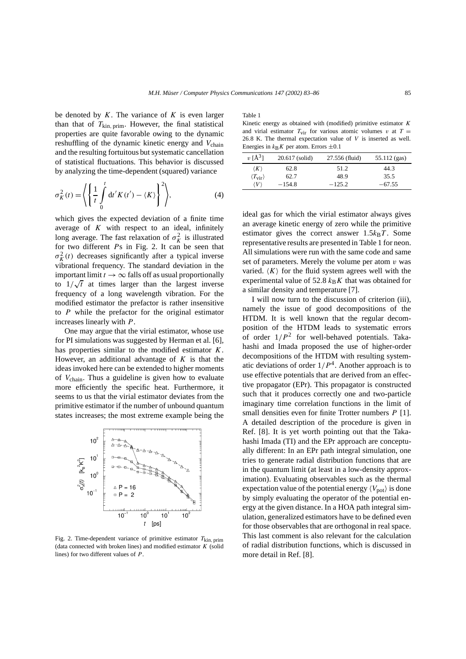be denoted by *K*. The variance of *K* is even larger than that of  $T_{\text{kin, prim}}$ . However, the final statistical properties are quite favorable owing to the dynamic reshuffling of the dynamic kinetic energy and  $V_{chain}$ and the resulting fortuitous but systematic cancellation of statistical fluctuations. This behavior is discussed by analyzing the time-dependent (squared) variance

$$
\sigma_K^2(t) = \left\langle \left\{ \frac{1}{t} \int_0^t dt' K(t') - \langle K \rangle \right\}^2 \right\rangle, \tag{4}
$$

which gives the expected deviation of a finite time average of *K* with respect to an ideal, infinitely long average. The fast relaxation of  $\sigma_K^2$  is illustrated for two different *P*s in Fig. 2. It can be seen that  $\sigma_K^2(t)$  decreases significantly after a typical inverse vibrational frequency. The standard deviation in the important limit  $t \to \infty$  falls off as usual proportionally to  $1/\sqrt{t}$  at times larger than the largest inverse frequency of a long wavelength vibration. For the modified estimator the prefactor is rather insensitive to *P* while the prefactor for the original estimator increases linearly with *P*.

One may argue that the virial estimator, whose use for PI simulations was suggested by Herman et al. [6], has properties similar to the modified estimator *K*. However, an additional advantage of *K* is that the ideas invoked here can be extended to higher moments of *V*chain. Thus a guideline is given how to evaluate more efficiently the specific heat. Furthermore, it seems to us that the virial estimator deviates from the primitive estimator if the number of unbound quantum states increases; the most extreme example being the



Fig. 2. Time-dependent variance of primitive estimator *T*kin*,* prim (data connected with broken lines) and modified estimator *K* (solid lines) for two different values of *P* .

Table 1

Kinetic energy as obtained with (modified) primitive estimator *K* and virial estimator  $T_{\text{vir}}$  for various atomic volumes *v* at  $T =$ 26*.*8 K. The thermal expectation value of *V* is inserted as well. Energies in  $k_B K$  per atom. Errors  $\pm 0.1$ 

| $v \space [A^3]$              | $20.617$ (solid) | 27.556 (fluid) | $55.112$ (gas) |
|-------------------------------|------------------|----------------|----------------|
| $\langle K \rangle$           | 62.8             | 51.2           | 44.3           |
| $\langle T_{\rm vir} \rangle$ | 62.7             | 48.9           | 35.5           |
| $\langle V \rangle$           | $-154.8$         | $-125.2$       | $-67.55$       |

ideal gas for which the virial estimator always gives an average kinetic energy of zero while the primitive estimator gives the correct answer  $1.5k_BT$ . Some representative results are presented in Table 1 for neon. All simulations were run with the same code and same set of parameters. Merely the volume per atom *v* was varied.  $\langle K \rangle$  for the fluid system agrees well with the experimental value of 52.8  $k_B K$  that was obtained for a similar density and temperature [7].

I will now turn to the discussion of criterion (iii), namely the issue of good decompositions of the HTDM. It is well known that the regular decomposition of the HTDM leads to systematic errors of order  $1/P^2$  for well-behaved potentials. Takahashi and Imada proposed the use of higher-order decompositions of the HTDM with resulting systematic deviations of order  $1/P<sup>4</sup>$ . Another approach is to use effective potentials that are derived from an effective propagator (EPr). This propagator is constructed such that it produces correctly one and two-particle imaginary time correlation functions in the limit of small densities even for finite Trotter numbers *P* [1]. A detailed description of the procedure is given in Ref. [8]. It is yet worth pointing out that the Takahashi Imada (TI) and the EPr approach are conceptually different: In an EPr path integral simulation, one tries to generate radial distribution functions that are in the quantum limit (at least in a low-density approximation). Evaluating observables such as the thermal expectation value of the potential energy  $\langle V_{pot} \rangle$  is done by simply evaluating the operator of the potential energy at the given distance. In a HOA path integral simulation, generalized estimators have to be defined even for those observables that are orthogonal in real space. This last comment is also relevant for the calculation of radial distribution functions, which is discussed in more detail in Ref. [8].